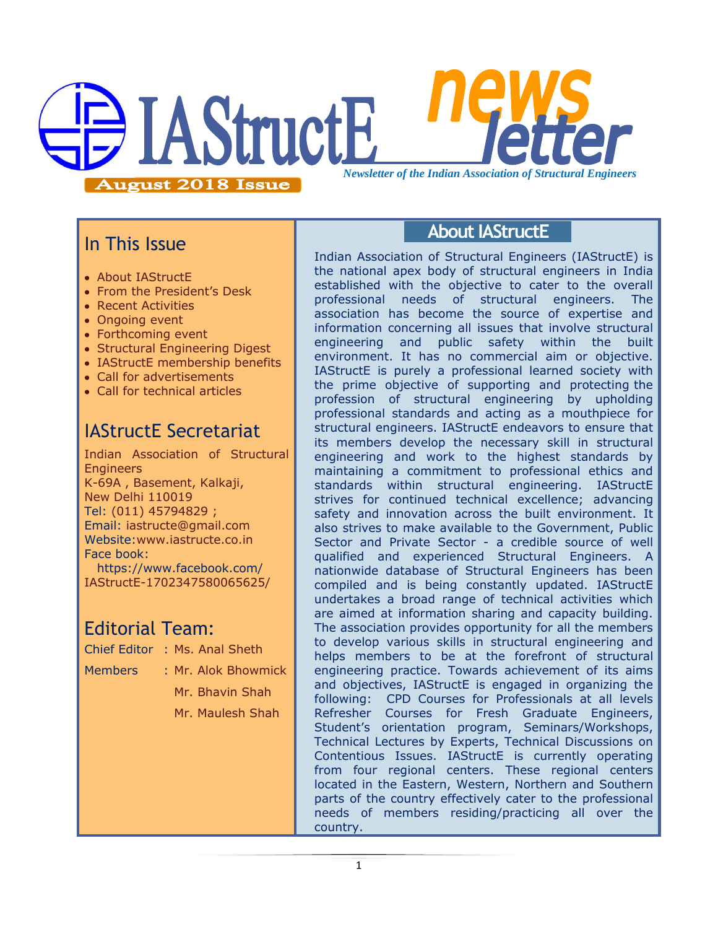

### In This Issue

- About IAStructE
- From the President's Desk
- Recent Activities
- Ongoing event
- Forthcoming event
- Structural Engineering Digest
- IAStructE membership benefits
- Call for advertisements
- Call for technical articles

## IAStructE Secretariat

Indian Association of Structural **Engineers** K-69A , Basement, Kalkaji, New Delhi 110019 Tel: (011) 45794829 ; Email: iastructe@gmail.com Website[:www.iastructe.co.in](http://www.iastructe.co.in/) Face book: [https://www.facebook.com/](https://www.facebook.com/%20IAStructE-1702347580065625/) 

[IAStructE-1702347580065625/](https://www.facebook.com/%20IAStructE-1702347580065625/)

### Editorial Team:

- Chief Editor : Ms. Anal Sheth
- Members : Mr. Alok Bhowmick

Mr. Bhavin Shah Mr. Maulesh Shah

### **About IAStructE**

Indian Association of Structural Engineers (IAStructE) is the national apex body of structural engineers in India established with the objective to cater to the overall professional needs of structural engineers. The association has become the source of expertise and information concerning all issues that involve structural engineering and public safety within the built environment. It has no commercial aim or objective. IAStructE is purely a professional learned society with the prime objective of supporting and protecting the profession of structural engineering by upholding professional standards and acting as a mouthpiece for structural engineers. IAStructE endeavors to ensure that its members develop the necessary skill in structural engineering and work to the highest standards by maintaining a commitment to professional ethics and standards within structural engineering. IAStructE strives for continued technical excellence; advancing safety and innovation across the built environment. It also strives to make available to the Government, Public Sector and Private Sector - a credible source of well qualified and experienced Structural Engineers. A nationwide database of Structural Engineers has been compiled and is being constantly updated. IAStructE undertakes a broad range of technical activities which are aimed at information sharing and capacity building. The association provides opportunity for all the members to develop various skills in structural engineering and helps members to be at the forefront of structural engineering practice. Towards achievement of its aims and objectives, IAStructE is engaged in organizing the following: CPD Courses for Professionals at all levels Refresher Courses for Fresh Graduate Engineers, Student"s orientation program, Seminars/Workshops, Technical Lectures by Experts, Technical Discussions on Contentious Issues. IAStructE is currently operating from four regional centers. These regional centers located in the Eastern, Western, Northern and Southern parts of the country effectively cater to the professional needs of members residing/practicing all over the country.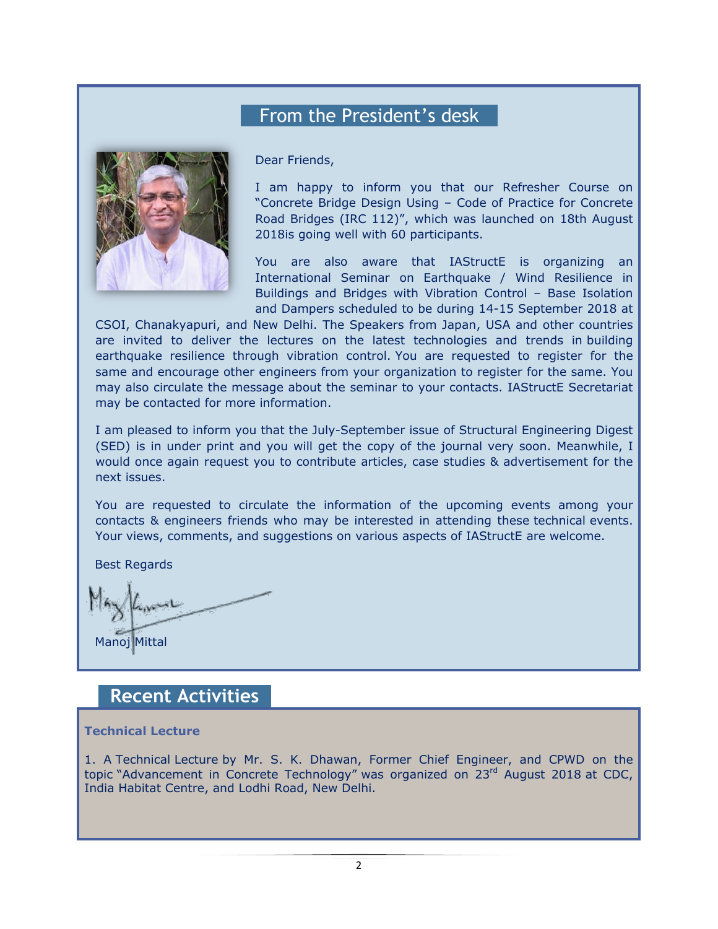## From the President's desk



Dear Friends,

I am happy to inform you that our Refresher Course on "Concrete Bridge Design Using – Code of Practice for Concrete Road Bridges (IRC 112)", which was launched on 18th August 2018is going well with 60 participants.

You are also aware that IAStructE is organizing an International Seminar on Earthquake / Wind Resilience in Buildings and Bridges with Vibration Control – Base Isolation and Dampers scheduled to be during 14-15 September 2018 at

CSOI, Chanakyapuri, and New Delhi. The Speakers from Japan, USA and other countries are invited to deliver the lectures on the latest technologies and trends in building earthquake resilience through vibration control. You are requested to register for the same and encourage other engineers from your organization to register for the same. You may also circulate the message about the seminar to your contacts. IAStructE Secretariat may be contacted for more information.

I am pleased to inform you that the July-September issue of Structural Engineering Digest (SED) is in under print and you will get the copy of the journal very soon. Meanwhile, I would once again request you to contribute articles, case studies & advertisement for the next issues.

You are requested to circulate the information of the upcoming events among your contacts & engineers friends who may be interested in attending these technical events. Your views, comments, and suggestions on various aspects of IAStructE are welcome.

Best Regards

Manoj Mittal

### **Recent Activities**

#### **Technical Lecture**

1. A Technical Lecture by Mr. S. K. Dhawan, Former Chief Engineer, and CPWD on the topic "Advancement in Concrete Technology" was organized on 23<sup>rd</sup> August 2018 at CDC, India Habitat Centre, and Lodhi Road, New Delhi.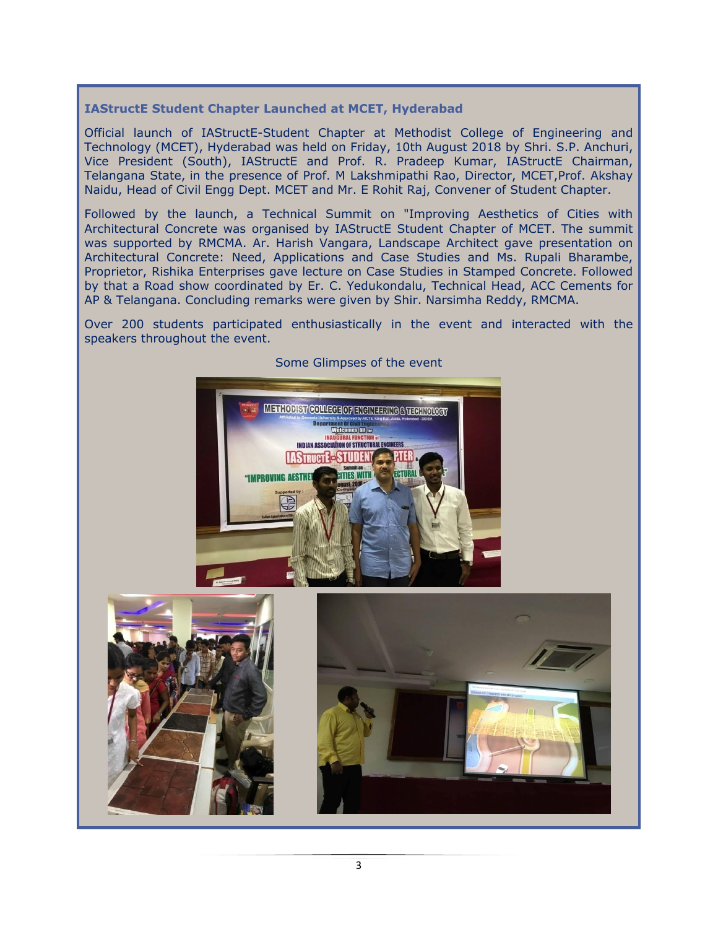#### **IAStructE Student Chapter Launched at MCET, Hyderabad**

Official launch of IAStructE-Student Chapter at Methodist College of Engineering and Technology (MCET), Hyderabad was held on Friday, 10th August 2018 by Shri. S.P. Anchuri, Vice President (South), IAStructE and Prof. R. Pradeep Kumar, IAStructE Chairman, Telangana State, in the presence of Prof. M Lakshmipathi Rao, Director, MCET,Prof. Akshay Naidu, Head of Civil Engg Dept. MCET and Mr. E Rohit Raj, Convener of Student Chapter.

Followed by the launch, a Technical Summit on "Improving Aesthetics of Cities with Architectural Concrete was organised by IAStructE Student Chapter of MCET. The summit was supported by RMCMA. Ar. Harish Vangara, Landscape Architect gave presentation on Architectural Concrete: Need, Applications and Case Studies and Ms. Rupali Bharambe, Proprietor, Rishika Enterprises gave lecture on Case Studies in Stamped Concrete. Followed by that a Road show coordinated by Er. C. Yedukondalu, Technical Head, ACC Cements for AP & Telangana. Concluding remarks were given by Shir. Narsimha Reddy, RMCMA.

Over 200 students participated enthusiastically in the event and interacted with the speakers throughout the event.



#### Some Glimpses of the event

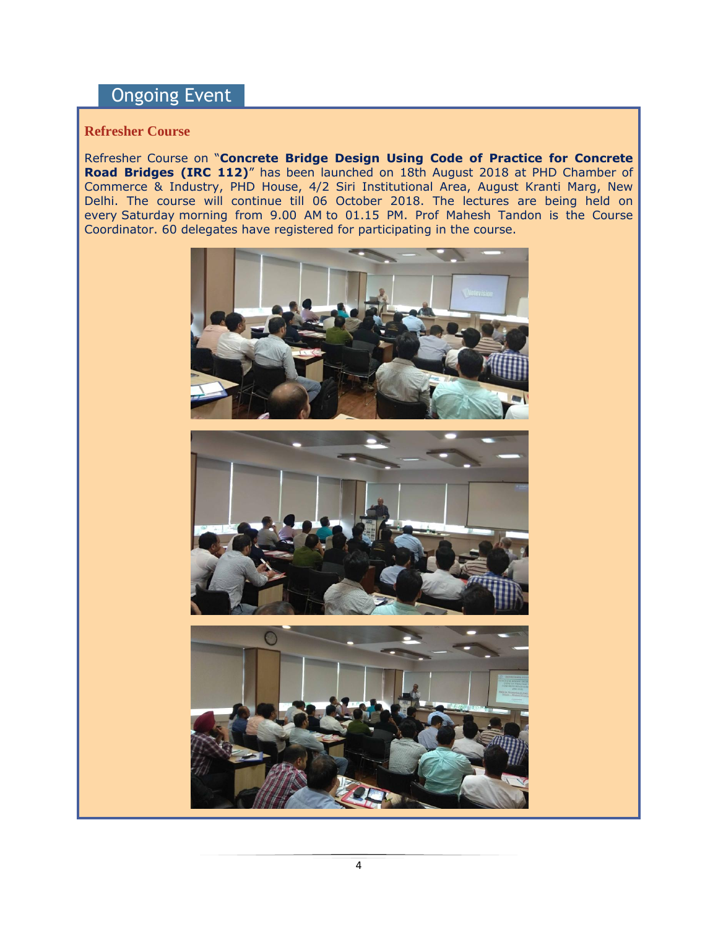## Ongoing Event

#### **Refresher Course**

Refresher Course on "**Concrete Bridge Design Using Code of Practice for Concrete Road Bridges (IRC 112)**" has been launched on 18th August 2018 at PHD Chamber of Commerce & Industry, PHD House, 4/2 Siri Institutional Area, August Kranti Marg, New Delhi. The course will continue till 06 October 2018. The lectures are being held on every Saturday morning from 9.00 AM to 01.15 PM. Prof Mahesh Tandon is the Course Coordinator. 60 delegates have registered for participating in the course.





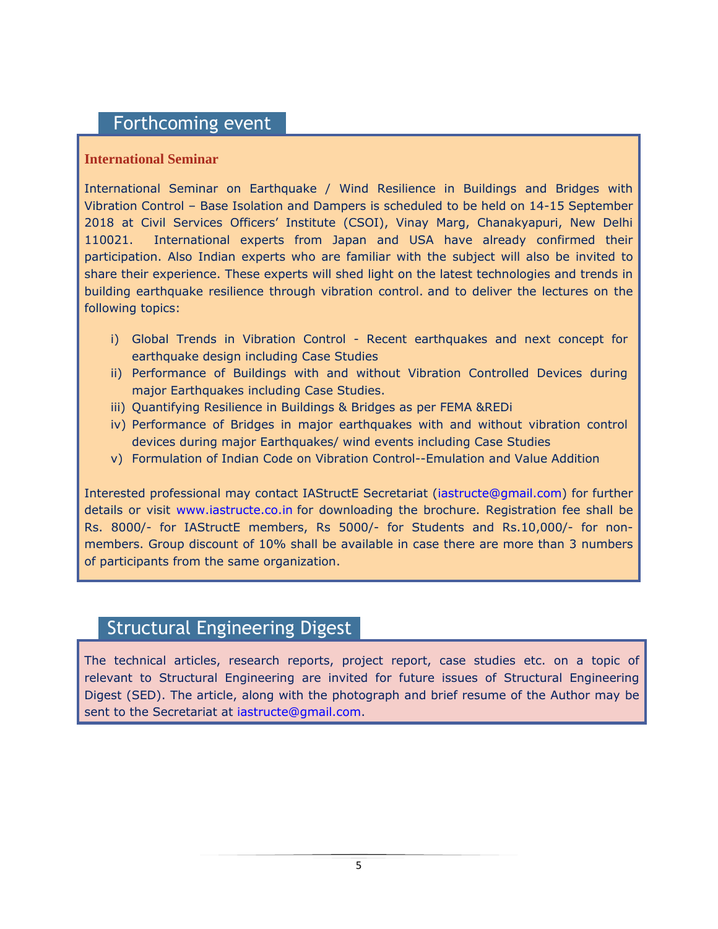### Forthcoming event

#### **International Seminar**

International Seminar on Earthquake / Wind Resilience in Buildings and Bridges with Vibration Control – Base Isolation and Dampers is scheduled to be held on 14-15 September 2018 at Civil Services Officers" Institute (CSOI), Vinay Marg, Chanakyapuri, New Delhi 110021. International experts from Japan and USA have already confirmed their participation. Also Indian experts who are familiar with the subject will also be invited to share their experience. These experts will shed light on the latest technologies and trends in building earthquake resilience through vibration control. and to deliver the lectures on the following topics:

- i) Global Trends in Vibration Control Recent earthquakes and next concept for earthquake design including Case Studies
- ii) Performance of Buildings with and without Vibration Controlled Devices during major Earthquakes including Case Studies.
- iii) Quantifying Resilience in Buildings & Bridges as per FEMA &REDi
- iv) Performance of Bridges in major earthquakes with and without vibration control devices during major Earthquakes/ wind events including Case Studies
- v) Formulation of Indian Code on Vibration Control--Emulation and Value Addition

Interested professional may contact IAStructE Secretariat [\(iastructe@gmail.com\)](mailto:iastructe@gmail.com) for further details or visit [www.iastructe.co.in](http://www.iastructe.co.in/) for downloading the brochure. Registration fee shall be Rs. 8000/- for IAStructE members, Rs 5000/- for Students and Rs.10,000/- for nonmembers. Group discount of 10% shall be available in case there are more than 3 numbers of participants from the same organization.

## Structural Engineering Digest

The technical articles, research reports, project report, case studies etc. on a topic of relevant to Structural Engineering are invited for future issues of Structural Engineering Digest (SED). The article, along with the photograph and brief resume of the Author may be sent to the Secretariat at [iastructe@gmail.com.](mailto:iastructe@gmail.com)